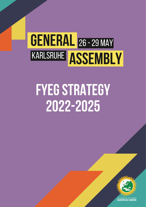# GENERAL 26 - 29 MAY KARLSRUHE ASSEMBLY

## **FYEG STRATEGY** 2022-2025



**FEDERATION OF YOUNG**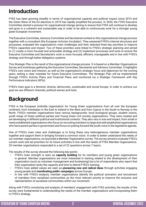## **Introduction**

FYEG has been growing steadily in terms of organisational capacity and political impact since 2014 and the Green Wave of the EU elections in 2019 has rapidly amplified the process. In 2020, the FYEG Executive Committee started a process for organisational change aiming to ensure that FYEG will continue to develop and grow in a coherent and sustainable way in order to be able to continuously work for a stronger young green European movement.

The Executive Committee, Advisory Committee and Secretariat worked on this organisational change process together with a consultant (the European Activism Incubator). They assessed FYEG's internal structures and processes, evaluated the organisation's main challenges and then selected three key priorities to improve FYEG's capacities and impact. Two of these priorities were linked to FYEG's strategic planning and aimed to (1) create a more focused and actionable strategy and (2) implement processes and tools to ensure the Executive Committee and Secretariat's work is more focused, efficient, manageable and in line with FYEG's strategy and through better delegation systems.

This Strategic Plan is the result of the organisational change process. It is based on a Member Organisations Survey and workshops gathering the Executive Committee, Secretariat and Advisory Committee. It highlights FYEG's core vision and mission, as well as the organisation's strategic focus and objectives for the coming years, setting a clear mandate for future Executive Committees. The Strategic Plan will be implemented through FYEG's Activity Plans and Financial Plans and monitored via a Strategic Framework with Key Performance Indicators (KPIs).

FYEG's main goal is a feminist, diverse, democratic, sustainable and social Europe. In order to achieve our goal we use different channels, political arenas and tools.

## **Background**

FYEG is the European umbrella organisation for Young Green organisations from all over the European continent, from Azerbaijan in the East to Ireland in the West and from Cyprus in the South to Norway in the North. FYEG's member organisations have various backgrounds: local ecological groups, student unions, youth wings of Green political parties and Young Green civil society organisations. They were created and are developing in different political and institutional contexts. They also vary in size and impact, from small or newly established organisations who focus on recruiting members to large and well established organisations who have parent parties in government and focus on putting forward the youth voice in the legislative agenda.

One of FYEG's main roles and challenges is to bring these very heterogeneous member organisations together and support them in bringing forward a common vision. In order to better understand the needs of our member organisations, we launched a Member Organisation survey. The survey aimed to evaluate FYEG's current work and set priorities for its future activities in line with the needs of FYEG Member Organisations. 20 member organisations responded to a set of 22 questions across 7 topics.

The results of the survey showed the following key points:

- FYEG's main strength is seen as **capacity building** for its members and young green organisations in general. Member organisations are most interested in training related to the development of their organisation (such as volunteer management and fundraising) but a lot of respondents also report that their organisation lacks the capacity and time to attend FYEG's training;
- FYEG's main added values are seen as **pioneering new and radical ideas** through activities engaging young people and **coordinating public campaigns** across Europe;
- In line with FYEG's analysis, member organisations identify the political activation and recruitment of members from racialized communities as the most relevant priority to improve the inclusion and representation of racialized communities within our movement.

Along with FYEG's monitoring and analysis of members' engagement with FYEG activities, the results of the survey were fundamental in understanding the needs of the member organisations and incorporating them in FYEG's strategy.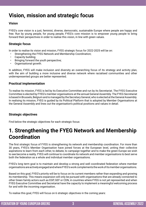## **Vision, mission and strategic focus**

#### **Vision**

FYEG's core vision is a just, feminist, diverse, democratic, sustainable Europe where people are happy and free. Run by young people, for young people, FYEG's core mission is to empower young people to bring forward their perspectives in order to realise this vision, in line with green values.

#### **Strategic focus**

In order to realise its vision and mission, FYEG strategic focus for 2022-2025 will be on:

- Strengthening the FYEG Network and Membership Coordination;
- Capacity building;
- Bringing forward the youth perspective;
- Organisational growth.

In addition, FYEG will make inclusion and diversity an overarching focus of its strategy and activity plan, with the aim of building a more inclusive and diverse network where racialised communities and other underrepresented groups are better represented.

#### **Practical implementation**

To realise its mission, FYEG is led by its Executive Committee and run by its Secretariat. The FYEG Executive Committee is elected by FYEG's member organisations at the annual General Assembly. The FYEG Secretariat is based in Brussels, Belgium and is managed by the Secretary General, who is elected at the General Assembly. In realising its mission, FYEG is guided by its Political Platform that is adopted by Member Organisations at the General Assembly and lines out the organisation's political positions and values in detail.

#### **Strategic objectives**

Find below the strategic objectives for each strategic focus:

## **1. Strengthening the FYEG Network and Membership Coordination**

The first strategic focus of FYEG is strengthening its network and membership coordination. For more than 30 years, FYEG's Member Organisation have joined forces at the European level, uniting their collective aspirations to learn from each other, to debate, to campaign together and to make the green Europe we wish to see become a reality. FYEG will continue to coordinate its network and member organisations to best serve both the federation as a whole and individual member organisations.

FYEG's long term goal is to maintain and develop a strong and well coordinated federation where member organisations are actively engaged and where FYEG's work complements the work of its member organisations.

Based on this goal, FYEG's priority will be to focus on its current members rather than expanding and growing its membership. This means expansion will only be pursued with organisations that are already connected to other Green family actors such as EGP, GEF or CDN, in countries where FYEG is not yet represented and when FYEG Executive Committee and Secretariat have the capacity to implement a meaningful welcoming process for and with the incoming organisation.

To realise this goal, FYEG will focus on 6 strategic objectives in the coming years: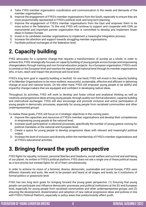- A. Tailor FYEG member organisation coordination and communication to the needs and demands of the member organisations:
- B. Improve the engagement of FYEG's member organisations from the South, especially to ensure they are more proportionally represented in FYEG's political work and long term planning;
- C. Improve the engagement of FYEG's member organisations from the East and empower them to be more active in the federation. To this end, FYEG will continue to support and cooperate with CDN, an instrumental and important partner organisation that is committed to develop and implement Green ideas in Eastern Europe;
- D. Invest in its candidate member organisations to implement a meaningful integration process;
- E. Increase the attention and support towards struggling member organisations;
- F. Facilitate political exchanges at the federation level.

## **2. Capacity building**

FYEG advocates for a systemic change that requires a transformation of society as a whole. In order to achieve this, FYEG strategically focuses on capacity building of young people across Europe and empowering changemakers through training and non-formal education projects. As a European organisation, FYEG's work is centred on the European level and reaches the regional and national level through its member organisations who, in turn, reach and impact the provincial and local level.

FYEG's long term goal in capacity building is twofold. On one hand, FYEG will invest in the capacity building of its Member Organisations to be more resilient, resourceful, sustainable, effective and efficient in delivering change at local and national levels. On the other hand, FYEG will empower young people to be skillful and impactful change-makers that are equipped and confident in developing radical ideas.

Throughout its activities, FYEG will work to develop and foster critical and analytical thinking as well as creativity and progressive ideas among young people, through quality non-formal education, capacity building and intercultural exchanges. FYEG will also encourage and promote inclusive and active participation of young people in democratic processes, especially for young people from racialised communities and other underrepresented groups.

To realise these goals, FYEG will focus on 4 strategic objectives in the coming years:

- A. Improve the capacities and resources of FYEG's member organisations and develop their competences in empowering young people at the national level;
- B. Increase youth participation in electoral processes, specifically the number of young greens running for political mandates at the national and European level;
- C. Create a space for young people to develop progressive ideas with relevant and meaningful political output;
- D. Increase the level of inclusion and diversity within the membership of FYEG's member organisations and at FYEG's educational activities.

## **3. Bringing forward the youth perspective**

FYEG fights for equality, inclusion, personal liberties and freedoms, social welfare and survival and well-being of our planet. As written in FYEG's political platform, FYEG does not see a single one of these political issues as a lone priority but instead fights for all of them simultaneously.

In order to achieve its vision of a feminist, diverse, democratic, sustainable and social Europe, FYEG uses different channels and tools. We work to be present and heard at all stages and levels, be it institutions of formal politics or grassroots level.

FYEG has two long term goals for bringing forward the young green perspective: (1) Ensuring that young people can participate and influence democratic processes and political institutions at the EU and European level, especially for young people from racialised communities and other underrepresented groups; and (2) ensuring the development, dissemination and adoption of new radical progressive ideas and policies in line with FYEG's Political Platform, especially in policy areas that predominantly affect youth.